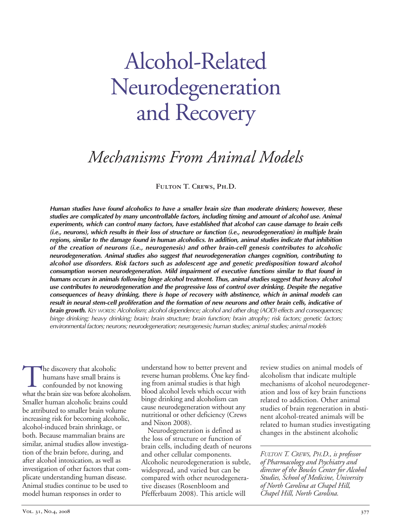# Alcohol-Related Neurodegeneration and Recovery

# *Mechanisms From Animal Models*

**Fulton T. Crews, Ph.D.**

*Human studies have found alcoholics to have a smaller brain size than moderate drinkers; however, these studies are complicated by many uncontrollable factors, including timing and amount of alcohol use. Animal experiments, which can control many factors, have established that alcohol can cause damage to brain cells* (i.e., neurons), which results in their loss of structure or function (i.e., neurodegeneration) in multiple brain *regions, similar to the damage found in human alcoholics. In addition, animal studies indicate that inhibition of the creation of neurons (i.e., neurogenesis) and other braincell genesis contributes to alcoholic neurodegeneration. Animal studies also suggest that neurodegeneration changes cognition, contributing to alcohol use disorders. Risk factors such as adolescent age and genetic predisposition toward alcohol consumption worsen neurodegeneration. Mild impairment of executive functions similar to that found in humans occurs in animals following binge alcohol treatment. Thus, animal studies suggest that heavy alcohol use contributes to neurodegeneration and the progressive loss of control over drinking. Despite the negative consequences of heavy drinking, there is hope of recovery with abstinence, which in animal models can* result in neural stem-cell proliferation and the formation of new neurons and other brain cells, indicative of *brain growth. KEY WORDS: Alcoholism; alcohol dependence; alcohol and other drug (AOD) effects and consequences; binge drinking; heavy drinking; brain; brain structure; brain function; brain atrophy; risk factors; genetic factors; environmental factors; neurons; neurodegeneration; neurogenesis; human studies; animalstudies; animal models*

The discovery that alcoholic<br>humans have small brains<br>confounded by not knowing<br>what the brain size was before alcoho humans have small brains is confounded by not knowing what the brain size was before alcoholism. Smaller human alcoholic brains could be attributed to smaller brain volume increasing risk for becoming alcoholic, alcohol-induced brain shrinkage, or both. Because mammalian brains are similar, animal studies allow investigation of the brain before, during, and after alcohol intoxication, as well as investigation of other factors that complicate understanding human disease. Animal studies continue to be used to model human responses in order to

understand how to better prevent and reverse human problems. One key finding from animal studies is that high blood alcohol levels which occur with binge drinking and alcoholism can cause neurodegeneration without any nutritional or other deficiency (Crews and Nixon 2008).

Neurodegeneration is defined as the loss of structure or function of brain cells, including death of neurons and other cellular components. Alcoholic neurodegeneration is subtle, widespread, and varied but can be compared with other neurodegenerative diseases (Rosenbloom and Pfefferbaum 2008). This article will

review studies on animal models of alcoholism that indicate multiple mechanisms of alcohol neurodegeneration and loss of key brain functions related to addiction. Other animal studies of brain regeneration in abstinent alcohol-treated animals will be related to human studies investigating changes in the abstinent alcoholic

*FULTON T. CREWS, PH.D., is professor of Pharmacology and Psychiatry and director of the Bowles Center for Alcohol Studies, School of Medicine, University of North Carolina at Chapel Hill, Chapel Hill, North Carolina.*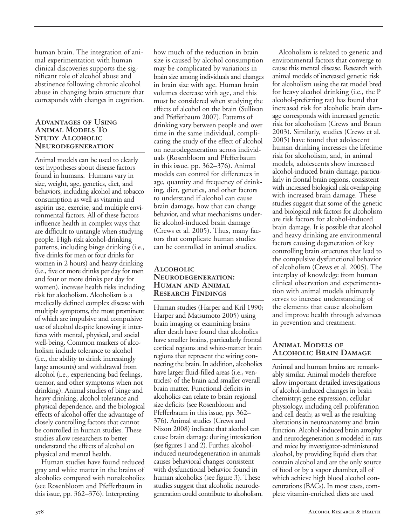human brain. The integration of animal experimentation with human clinical discoveries supports the significant role of alcohol abuse and abstinence following chronic alcohol abuse in changing brain structure that corresponds with changes in cognition.

#### **Advantages of Using Animal Models To Study Alcoholic Neurodegeneration**

Animal models can be used to clearly test hypotheses about disease factors found in humans. Humans vary in size, weight, age, genetics, diet, and behaviors, including alcohol and tobacco consumption as well as vitamin and aspirin use, exercise, and multiple environmental factors. All of these factors influence health in complex ways that are difficult to untangle when studying people. High-risk alcohol-drinking patterns, including binge drinking (i.e., five drinks for men or four drinks for women in 2 hours) and heavy drinking (i.e., five or more drinks per day for men and four or more drinks per day for women), increase health risks including risk for alcoholism. Alcoholism is a medically defined complex disease with multiple symptoms, the most prominent of which are impulsive and compulsive use of alcohol despite knowing it interferes with mental, physical, and social well-being. Common markers of alcoholism include tolerance to alcohol (i.e., the ability to drink increasingly large amounts) and withdrawal from alcohol (i.e., experiencing bad feelings, tremor, and other symptoms when not drinking). Animal studies of binge and heavy drinking, alcohol tolerance and physical dependence, and the biological effects of alcohol offer the advantage of closely controlling factors that cannot be controlled in human studies. These studies allow researchers to better understand the effects of alcohol on physical and mental health.

Human studies have found reduced gray and white matter in the brains of alcoholics compared with nonalcoholics (see Rosenbloom and Pfefferbaum in this issue, pp. 362–376). Interpreting

how much of the reduction in brain size is caused by alcohol consumption may be complicated by variations in brain size among individuals and changes in brain size with age. Human brain volumes decrease with age, and this must be considered when studying the effects of alcohol on the brain (Sullivan and Pfefferbaum 2007). Patterns of drinking vary between people and over time in the same individual, complicating the study of the effect of alcohol on neurodegeneration across individuals (Rosenbloom and Pfefferbaum in this issue. pp. 362–376). Animal models can control for differences in age, quantity and frequency of drinking, diet, genetics, and other factors to understand if alcohol can cause brain damage, how that can change behavior, and what mechanisms underlie alcohol-induced brain damage (Crews et al. 2005). Thus, many factors that complicate human studies can be controlled in animal studies.

### **Alcoholic Neurodegeneration: Human and Animal Research Findings**

Human studies (Harper and Kril 1990; Harper and Matsumoto 2005) using brain imaging or examining brains after death have found that alcoholics have smaller brains, particularly frontal cortical regions and white-matter brain regions that represent the wiring connecting the brain. In addition, alcoholics have larger fluid-filled areas (i.e., ventricles) of the brain and smaller overall brain matter. Functional deficits in alcoholics can relate to brain regional size deficits (see Rosenbloom and Pfefferbaum in this issue, pp. 362– 376). Animal studies (Crews and Nixon 2008) indicate that alcohol can cause brain damage during intoxication (seefigures 1 and 2). Further, alcoholinduced neurodegeneration in animals causes behavioral changes consistent with dysfunctional behavior found in human alcoholics (see figure 3). These studies suggest that alcoholic neurodegeneration could contribute to alcoholism.

Alcoholism is related to genetic and environmental factors that converge to cause this mental disease. Research with animal models of increased genetic risk for alcoholism using the rat model bred for heavy alcohol drinking (i.e., the P alcohol-preferring rat) has found that increased risk for alcoholic brain damage corresponds with increased genetic risk for alcoholism (Crews and Braun 2003). Similarly, studies (Crews et al. 2005) have found that adolescent human drinking increases the lifetime risk for alcoholism, and, in animal models, adolescents show increased alcohol-induced brain damage, particularly in frontal brain regions, consistent with increased biological risk overlapping with increased brain damage. These studies suggest that some of the genetic and biological risk factors for alcoholism are risk factors for alcohol-induced brain damage. It is possible that alcohol and heavy drinking are environmental factors causing degeneration of key controlling brain structures that lead to the compulsive dysfunctional behavior of alcoholism (Crews et al. 2005). The interplay of knowledge from human clinical observation and experimentation with animal models ultimately serves to increase understanding of the elements that cause alcoholism and improve health through advances in prevention and treatment.

# **Animal Models of Alcoholic Brain Damage**

Animal and human brains are remarkably similar. Animal models therefore allow important detailed investigations of alcohol-induced changes in brain chemistry; gene expression; cellular physiology, including cell proliferation and cell death; as well as the resulting alterations in neuroanatomy and brain function. Alcohol-induced brain atrophy and neurodegeneration is modeled in rats and mice by investigator-administered alcohol, by providing liquid diets that contain alcohol and are the only source of food or by a vapor chamber, all of which achieve high blood alcohol concentrations (BACs). In most cases, complete vitaminenriched diets are used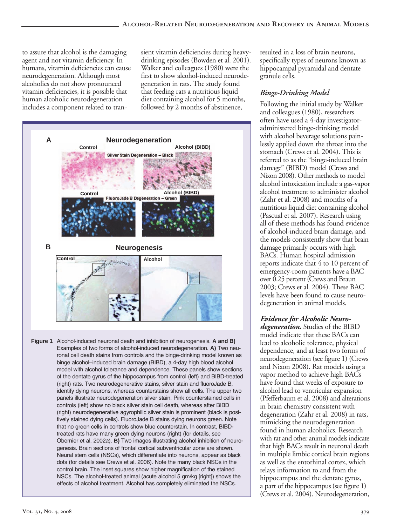to assure that alcohol is the damaging agent and not vitamin deficiency. In humans, vitamin deficiencies can cause neurodegeneration. Although most alcoholics do not show pronounced vitamin deficiencies, it is possible that human alcoholic neurodegeneration includes a component related to transient vitamin deficiencies during heavydrinking episodes (Bowden et al. 2001). Walker and colleagues (1980) were the first to show alcohol-induced neurodegeneration in rats. The study found that feeding rats a nutritious liquid diet containing alcohol for 5 months, followed by 2 months of abstinence,



control brain. The inset squares show higher magnification of the stained NSCs. The alcohol-treated animal (acute alcohol 5 gm/kg [right]) shows the effects of alcohol treatment. Alcohol has completely eliminated the NSCs.

resulted in a loss of brain neurons, specifically types of neurons known as hippocampal pyramidal and dentate granule cells.

# *BingeDrinking Model*

Following the initial study by Walker and colleagues (1980), researchers often have used a 4-day investigatoradministered binge-drinking model with alcohol beverage solutions painlessly applied down the throat into the stomach (Crews et al. 2004). This is referred to as the "binge-induced brain damage" (BIBD) model (Crews and Nixon 2008). Other methods to model alcohol intoxication include a gas-vapor alcohol treatment to administer alcohol (Zahr et al. 2008) and months of a nutritious liquid diet containing alcohol (Pascual et al. 2007). Research using all of these methods has found evidence of alcohol-induced brain damage, and the models consistently show that brain damage primarily occurs with high BACs. Human hospital admission reports indicate that 4 to 10 percent of emergency-room patients have a BAC over 0.25 percent (Crews and Braun 2003; Crews et al. 2004). These BAC levels have been found to cause neurodegeneration in animal models.

# *Evidence for Alcoholic Neuro-*

*degeneration.* Studies of the BIBD model indicate that these BACs can lead to alcoholic tolerance, physical dependence, and at least two forms of neurodegeneration (see figure 1) (Crews and Nixon 2008). Rat models using a vapor method to achieve high BACs have found that weeks of exposure to alcohol lead to ventricular expansion (Pfefferbaum et al. 2008) and alterations in brain chemistry consistent with degeneration (Zahr et al. 2008) in rats, mimicking the neurodegeneration found in human alcoholics. Research with rat and other animal models indicate that high BACs result in neuronal death in multiple limbic cortical brain regions as well as the entorhinal cortex, which relays information to and from the hippocampus and the dentate gyrus, a part of the hippocampus (seefigure 1) (Crews et al. 2004). Neurodegeneration,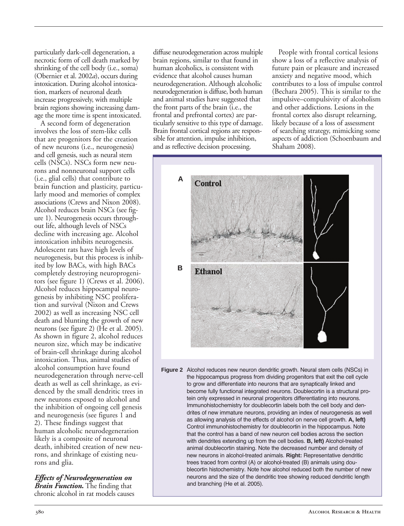particularly dark-cell degeneration, a necrotic form of cell death marked by shrinking of the cell body (i.e., soma) (Obernier et al. 2002*a*), occurs during intoxication. During alcohol intoxication, markers of neuronal death increase progressively, with multiple brain regions showing increasing damage the more time is spent intoxicated.

A second form of degeneration involves the loss of stem-like cells that are progenitors for the creation of new neurons (i.e., neurogenesis) and cell genesis, such as neural stem cells (NSCs). NSCs form new neurons and nonneuronal support cells (i.e., glial cells) that contribute to brain function and plasticity, particularly mood and memories of complex associations (Crews and Nixon 2008). Alcohol reduces brain NSCs (see figure 1). Neurogenesis occurs throughout life, although levels of NSCs decline with increasing age. Alcohol intoxication inhibits neurogenesis. Adolescent rats have high levels of neurogenesis, but this process is inhibited by low BACs, with high BACs completely destroying neuroprogenitors (see figure 1) (Crews et al. 2006). Alcohol reduces hippocampal neurogenesis by inhibiting NSC proliferation and survival (Nixon and Crews 2002) as well as increasing NSC cell death and blunting the growth of new neurons (see figure 2) (He et al. 2005). As shown in figure 2, alcohol reduces neuron size, which may be indicative of brain-cell shrinkage during alcohol intoxication. Thus, animal studies of alcohol consumption have found neurodegeneration through nerve-cell death as well as cell shrinkage, as evidenced by the small dendritic trees in new neurons exposed to alcohol and the inhibition of ongoing cell genesis and neurogenesis (see figures 1 and 2). These findings suggest that human alcoholic neurodegeneration likely is a composite of neuronal death, inhibited creation of new neurons, and shrinkage of existing neurons and glia.

*Effects of Neurodegeneration on Brain Function.* The finding that chronic alcohol in rat models causes

diffuse neurodegeneration across multiple brain regions, similar to that found in human alcoholics, is consistent with evidence that alcohol causes human neurodegeneration. Although alcoholic neurodegeneration is diffuse, both human and animal studies have suggested that the front parts of the brain (i.e., the frontal and prefrontal cortex) are particularly sensitive to this type of damage. Brain frontal cortical regions are responsible for attention, impulse inhibition, and as reflective decision processing.

People with frontal cortical lesions show a loss of a reflective analysis of future pain or pleasure and increased anxiety and negative mood, which contributes to a loss of impulse control (Bechara 2005). This is similar to the impulsive–compulsivity of alcoholism and other addictions. Lesions in the frontal cortex also disrupt relearning, likely because of a loss of assessment of searching strategy, mimicking some aspects of addiction (Schoenbaum and Shaham 2008).



**Figure 2** Alcohol reduces new neuron dendritic growth. Neural stem cells (NSCs) in the hippocampus progress from dividing progenitors that exit the cell cycle to grow and differentiate into neurons that are synaptically linked and become fully functional integrated neurons. Doublecortin is a structural protein only expressed in neuronal progenitors differentiating into neurons. Immunohistochemistry for doublecortin labels both the cell body and dendrites of new immature neurons, providing an index of neurogenesis as well as allowing analysis of the effects of alcohol on nerve cell growth. **A, left)** Control immunohistochemistry for doublecortin in the hippocampus. Note that the control has a band of new neuron cell bodies across the section with dendrites extending up from the cell bodies. **B, left)** Alcohol-treated animal doublecortin staining. Note the decreased number and density of new neurons in alcohol-treated animals. **Right:** Representative dendritic trees traced from control (A) or alcohol-treated (B) animals using doublecortin histochemistry. Note how alcohol reduced both the number of new neurons and the size of the dendritic tree showing reduced dendritic length and branching (He et al. 2005).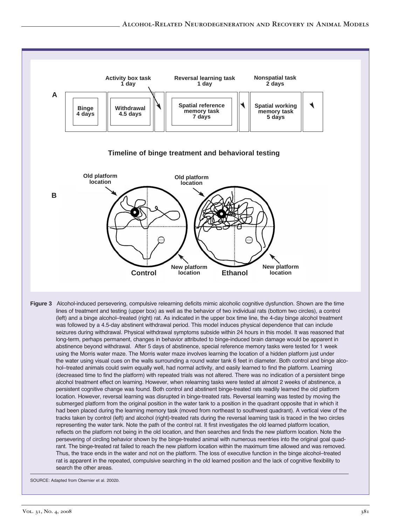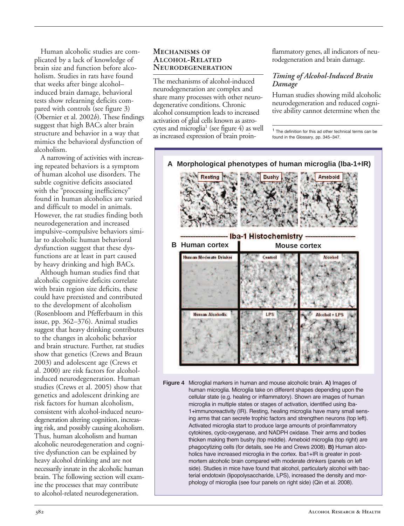Human alcoholic studies are complicated by a lack of knowledge of brain size and function before alcoholism. Studies in rats have found that weeks after binge alcohol– induced brain damage, behavioral tests show relearning deficits compared with controls (see figure 3) (Obernier et al. 2002*b*). These findings suggest that high BACs alter brain structure and behavior in a way that mimics the behavioral dysfunction of alcoholism.

A narrowing of activities with increasing repeated behaviors is a symptom of human alcohol use disorders. The subtle cognitive deficits associated with the "processing inefficiency" found in human alcoholics are varied and difficult to model in animals. However, the rat studies finding both neurodegeneration and increased impulsive–compulsive behaviors similar to alcoholic human behavioral dysfunction suggest that these dysfunctions are at least in part caused by heavy drinking and high BACs.

Although human studies find that alcoholic cognitive deficits correlate with brain region size deficits, these could have preexisted and contributed to the development of alcoholism (Rosenbloom and Pfefferbaum in this issue, pp. 362–376). Animal studies suggest that heavy drinking contributes to the changes in alcoholic behavior and brain structure. Further, rat studies show that genetics (Crews and Braun 2003) and adolescent age (Crews et al. 2000) are risk factors for alcoholinduced neurodegeneration. Human studies (Crews et al. 2005) show that genetics and adolescent drinking are risk factors for human alcoholism, consistent with alcohol-induced neurodegeneration altering cognition, increasing risk, and possibly causing alcoholism. Thus, human alcoholism and human alcoholic neurodegeneration and cognitive dysfunction can be explained by heavy alcohol drinking and are not necessarily innate in the alcoholic human brain. The following section will examine the processes that may contribute to alcohol-related neurodegeneration.

#### **Mechanisms of** ALCOHOL-RELATED **Neurodegeneration**

The mechanisms of alcohol-induced neurodegeneration are complex and share many processes with other neurodegenerative conditions. Chronic alcohol consumption leads to increased activation of glial cells known as astrocytes and microglia<sup>1</sup> (see figure 4) as well as increased expression of brain proinflammatory genes, all indicators of neurodegeneration and brain damage.

#### *Timing of AlcoholInduced Brain Damage*

Human studies showing mild alcoholic neurodegeneration and reduced cognitive ability cannot determine when the

<sup>1</sup> The definition for this ad other technical terms can be found in the Glossary, pp. 345–347.



**Figure 4** Microglial markers in human and mouse alcoholic brain. **A)** Images of human microglia. Microglia take on different shapes depending upon the cellular state (e.g. healing or inflammatory). Shown are images of human microglia in multiple states or stages of activation, identified using Iba-1+immunoreactivity (IR). Resting, healing microglia have many small sensing arms that can secrete trophic factors and strengthen neurons (top left). Activated microglia start to produce large amounts of proinflammatory cytokines, cyclo-oxygenase, and NADPH oxidase. Their arms and bodies thicken making them bushy (top middle). Ameboid microglia (top right) are phagocytizing cells (for details, see He and Crews 2008). **B)** Human alcoholics have increased microglia in the cortex. Iba1+IR is greater in postmortem alcoholic brain compared with moderate drinkers (panels on left side). Studies in mice have found that alcohol, particularly alcohol with bacterial endotoxin (lipopolysaccharide, LPS), increased the density and morphology of microglia (see four panels on right side) (Qin et al. 2008).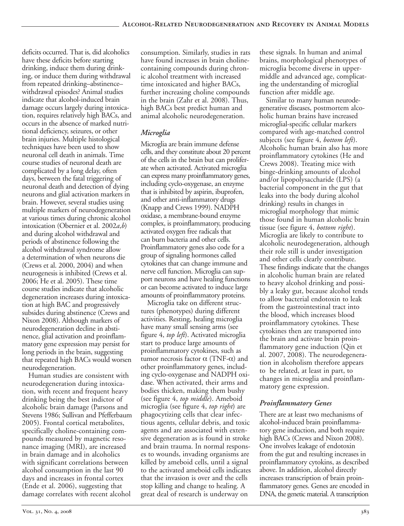deficits occurred. That is, did alcoholics have these deficits before starting drinking, induce them during drinking, or induce them during withdrawal from repeated drinking–abstinence– withdrawal episodes? Animal studies indicate that alcohol-induced brain damage occurs largely during intoxication, requires relatively high BACs, and occurs in the absence of marked nutritional deficiency, seizures, or other brain injuries. Multiple histological techniques have been used to show neuronal cell death in animals. Time course studies of neuronal death are complicated by a long delay, often days, between the fatal triggering of neuronal death and detection of dying neurons and glial activation markers in brain. However, several studies using multiple markers of neurodegeneration at various times during chronic alcohol intoxication (Obernier et al. 2002*a*,*b*) and during alcohol withdrawal and periods of abstinence following the alcohol withdrawal syndrome allow a determination of when neurons die (Crews et al. 2000, 2004) and when neurogenesis is inhibited (Crews et al. 2006; He et al. 2005). These time course studies indicate that alcoholic degeneration increases during intoxication at high BAC and progressively subsides during abstinence (Crews and Nixon 2008). Although markers of neurodegeneration decline in abstinence, glial activation and proinflammatory gene expression may persist for long periods in the brain, suggesting that repeated high BACs would worsen neurodegeneration.

Human studies are consistent with neurodegeneration during intoxication, with recent and frequent heavy drinking being the best indictor of alcoholic brain damage (Parsons and Stevens 1986; Sullivan and Pfefferbaum 2005). Frontal cortical metabolites, specifically choline-containing compounds measured by magnetic resonance imaging (MRI), are increased in brain damage and in alcoholics with significant correlations between alcohol consumption in the last 90 days and increases in frontal cortex (Ende et al. 2006), suggesting that damage correlates with recent alcohol

consumption. Similarly, studies in rats have found increases in brain cholinecontaining compounds during chronic alcohol treatment with increased time intoxicated and higher BACs, further increasing choline compounds in the brain (Zahr et al. 2008). Thus, high BACs best predict human and animal alcoholic neurodegeneration.

# *Microglia*

Microglia are brain immune defense cells, and they constitute about 20 percent of the cells in the brain but can proliferate when activated. Activated microglia can express many proinflammatory genes, including cyclo-oxygenase, an enzyme that is inhibited by aspirin, ibuprofen, and other anti-inflammatory drugs (Knapp and Crews 1999). NADPH oxidase, a membrane-bound enzyme complex, is proinflammatory, producing activated oxygen free radicals that can burn bacteria and other cells. Proinflammatory genes also code for a group of signaling hormones called cytokines that can change immune and nerve cell function. Microglia can support neurons and have healing functions or can become activated to induce large amounts of proinflammatory proteins.

Microglia take on different structures (phenotypes) during different activities. Resting, healing microglia have many small sensing arms (see figure 4, *top left*). Activated microglia start to produce large amounts of proinflammatory cytokines, such as tumor necrosis factor  $\alpha$  (TNF- $\alpha$ ) and other proinflammatory genes, including cyclo-oxygenase and NADPH oxidase. When activated, their arms and bodies thicken, making them bushy (see figure 4, *top middle*). Ameboid microglia (see figure 4, *top right*) are phagocytizing cells that clear infectious agents, cellular debris, and toxic agents and are associated with extensive degeneration as is found in stroke and brain trauma. In normal responses to wounds, invading organisms are killed by ameboid cells, until a signal to the activated ameboid cells indicates that the invasion is over and the cells stop killing and change to healing. A great deal of research is underway on

these signals. In human and animal brains, morphological phenotypes of microglia become diverse in uppermiddle and advanced age, complicating the understanding of microglial function after middle age.

Similar to many human neurodegenerative diseases, postmortem alcoholic human brains have increased microglial-specific cellular markers compared with age-matched control subjects (see figure 4, *bottom left*). Alcoholic human brain also has more proinflammatory cytokines (He and Crews 2008). Treating mice with binge-drinking amounts of alcohol and/or lipopolysaccharide (LPS) (a bacterial component in the gut that leaks into the body during alcohol drinking) results in changes in microglial morphology that mimic those found in human alcoholic brain tissue (see figure 4, *bottom right*). Microglia are likely to contribute to alcoholic neurodegeneration, although their role still is under investigation and other cells clearly contribute. These findings indicate that the changes in alcoholic human brain are related to heavy alcohol drinking and possibly a leaky gut, because alcohol tends to allow bacterial endotoxin to leak from the gastrointestinal tract into the blood, which increases blood proinflammatory cytokines. These cytokines then are transported into the brain and activate brain proinflammatory gene induction (Qin et al. 2007, 2008). The neurodegeneration in alcoholism therefore appears to be related, at least in part, to changes in microglia and proinflammatory gene expression.

# *Proinflammatory Genes*

There are at least two mechanisms of alcohol-induced brain proinflammatory gene induction, and both require high BACs (Crews and Nixon 2008). One involves leakage of endotoxin from the gut and resulting increases in proinflammatory cytokins, as described above. In addition, alcohol directly increases transcription of brain proinflammatory genes. Genes are encoded in DNA, the genetic material. A transcription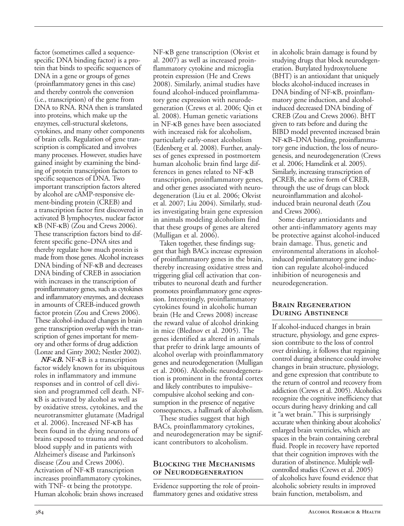factor (sometimes called a sequencespecific DNA binding factor) is a protein that binds to specific sequences of DNA in a gene or groups of genes (proinflammatory genes in this case) and thereby controls the conversion (i.e., transcription) of the gene from DNA to RNA. RNA then is translated into proteins, which make up the enzymes, cell-structural skeletons, cytokines, and many other components of brain cells. Regulation of gene transcription is complicated and involves many processes. However, studies have gained insight by examining the binding of protein transcription factors to specific sequences of DNA. Two important transcription factors altered by alcohol are cAMP-responsive element-binding protein (CREB) and a transcription factor first discovered in activated B lymphocytes, nuclear factor  $\kappa$ B (NF- $\kappa$ B) (Zou and Crews 2006). These transcription factors bind to different specific gene–DNA sites and thereby regulate how much protein is made from those genes. Alcohol increases DNA binding of NF-κB and decreases DNA binding of CREB in association with increases in the transcription of proinflammatory genes, such as cytokines and inflammatory enzymes, and decreases in amounts of CREB-induced growth factor protein (Zou and Crews 2006). These alcohol-induced changes in brain gene transcription overlap with the transcription of genes important for memory and other forms of drug addiction (Lonze and Ginty 2002; Nestler 2002).

*NF-κB.* NF-κB is a transcription factor widely known for its ubiquitous roles in inflammatory and immune responses and in control of cell division and programmed cell death. NFκB is activated by alcohol as well as by oxidative stress, cytokines, and the neurotransmitter glutamate (Madrigal et al. 2006). Increased NF-κB has been found in the dying neurons of brains exposed to trauma and reduced blood supply and in patients with Alzheimer's disease and Parkinson's disease (Zou and Crews 2006). Activation of NF-κB transcription increases proinflammatory cytokines, with TNF- $\alpha$  being the prototype. Human alcoholic brain shows increased

NFκB gene transcription (Okvist et al. 2007) as well as increased proinflammatory cytokine and microglia protein expression (He and Crews 2008). Similarly, animal studies have found alcohol-induced proinflammatory gene expression with neurodegeneration (Crews et al. 2006; Qin et al. 2008). Human genetic variations in NF-κB genes have been associated with increased risk for alcoholism, particularly early-onset alcoholism (Edenberg et al. 2008). Further, analyses of genes expressed in postmortem human alcoholic brain find large differences in genes related to NF-κB transcription, proinflammatory genes, and other genes associated with neurodegeneration (Liu et al. 2006; Okvist et al. 2007; Liu 2004). Similarly, studies investigating brain gene expression in animals modeling alcoholism find that these groups of genes are altered (Mulligan et al. 2006).

Taken together, these findings suggest that high BACs increase expression of proinflammatory genes in the brain, thereby increasing oxidative stress and triggering glial cell activation that contributes to neuronal death and further promotes proinflammatory gene expression. Interestingly, proinflammatory cytokines found in alcoholic human brain (He and Crews 2008) increase the reward value of alcohol drinking in mice (Blednov et al. 2005). The genes identified as altered in animals that prefer to drink large amounts of alcohol overlap with proinflammatory genes and neurodegeneration (Mulligan et al. 2006). Alcoholic neurodegeneration is prominent in the frontal cortex and likely contributes to impulsive– compulsive alcohol seeking and consumption in the presence of negative consequences, a hallmark of alcoholism.

These studies suggest that high BACs, proinflammatory cytokines, and neurodegeneration may be significant contributors to alcoholism.

#### **Blocking the Mechanisms of Neurodegeneration**

Evidence supporting the role of proinflammatory genes and oxidative stress

in alcoholic brain damage is found by studying drugs that block neurodegeneration. Butylated hydroxytoluene (BHT) is an antioxidant that uniquely blocks alcohol-induced increases in DNA binding of NF-κB, proinflammatory gene induction, and alcoholinduced decreased DNA binding of CREB (Zou and Crews 2006). BHT given to rats before and during the BIBD model prevented increased brain NFκB–DNA binding, proinflammatory gene induction, the loss of neurogenesis, and neurodegeneration (Crews et al. 2006; Hamelink et al. 2005). Similarly, increasing transcription of pCREB, the active form of CREB, through the use of drugs can block neuroinflammation and alcoholinduced brain neuronal death (Zou and Crews 2006).

Some dietary antioxidants and other anti-inflammatory agents may be protective against alcohol-induced brain damage. Thus, genetic and environmental alterations in alcoholinduced proinflammatory gene induction can regulate alcohol-induced inhibition of neurogenesis and neurodegeneration.

#### **Brain Regeneration During Abstinence**

If alcohol-induced changes in brain structure, physiology, and gene expression contribute to the loss of control over drinking, it follows that regaining control during abstinence could involve changes in brain structure, physiology, and gene expression that contribute to the return of control and recovery from addiction (Crews et al. 2005). Alcoholics recognize the cognitive inefficiency that occurs during heavy drinking and call it "a wet brain." This is surprisingly accurate when thinking about alcoholics' enlarged brain ventricles, which are spaces in the brain containing cerebral fluid. People in recovery have reported that their cognition improves with the duration of abstinence. Multiple wellcontrolled studies (Crews et al. 2005) of alcoholics have found evidence that alcoholic sobriety results in improved brain function, metabolism, and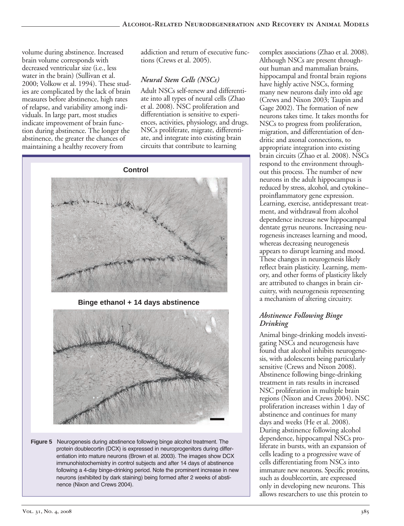volume during abstinence. Increased brain volume corresponds with decreased ventricular size (i.e., less water in the brain) (Sullivan et al. 2000; Volkow et al. 1994). These studies are complicated by the lack of brain measures before abstinence, high rates of relapse, and variability among individuals. In large part, most studies indicate improvement of brain function during abstinence. The longer the abstinence, the greater the chances of maintaining a healthy recovery from

addiction and return of executive functions (Crews et al. 2005).

# *Neural Stem Cells (NSCs)*

Adult NSCs self-renew and differentiate into all types of neural cells (Zhao et al. 2008). NSC proliferation and differentiation is sensitive to experiences, activities, physiology, and drugs. NSCs proliferate, migrate, differentiate, and integrate into existing brain circuits that contribute to learning



**Binge ethanol + 14 days abstinence**



**Figure 5** Neurogenesis during abstinence following binge alcohol treatment. The protein doublecortin (DCX) is expressed in neuroprogenitors during differentiation into mature neurons (Brown et al. 2003). The images show DCX immunohistochemistry in control subjects and after 14 days of abstinence following a 4-day binge-drinking period. Note the prominent increase in new neurons (exhibited by dark staining) being formed after 2 weeks of abstinence (Nixon and Crews 2004).

complex associations (Zhao et al. 2008). Although NSCs are present throughout human and mammalian brains, hippocampal and frontal brain regions have highly active NSCs, forming many new neurons daily into old age (Crews and Nixon 2003; Taupin and Gage 2002). The formation of new neurons takes time. It takes months for NSCs to progress from proliferation, migration, and differentiation of dendritic and axonal connections, to appropriate integration into existing brain circuits (Zhao et al. 2008). NSCs respond to the environment throughout this process. The number of new neurons in the adult hippocampus is reduced by stress, alcohol, and cytokine– proinflammatory gene expression. Learning, exercise, antidepressant treatment, and withdrawal from alcohol dependence increase new hippocampal dentate gyrus neurons. Increasing neurogenesis increases learning and mood, whereas decreasing neurogenesis appears to disrupt learning and mood. These changes in neurogenesis likely reflect brain plasticity. Learning, memory, and other forms of plasticity likely are attributed to changes in brain circuitry, with neurogenesis representing a mechanism of altering circuitry.

#### *Abstinence Following Binge Drinking*

Animal binge-drinking models investigating NSCs and neurogenesis have found that alcohol inhibits neurogenesis, with adolescents being particularly sensitive (Crews and Nixon 2008). Abstinence following binge-drinking treatment in rats results in increased NSC proliferation in multiple brain regions (Nixon and Crews 2004). NSC proliferation increases within 1 day of abstinence and continues for many days and weeks (He et al. 2008). During abstinence following alcohol dependence, hippocampal NSCs proliferate in bursts, with an expansion of cells leading to a progressive wave of cells differentiating from NSCs into immature new neurons. Specific proteins, such as doublecortin, are expressed only in developing new neurons. This allows researchers to use this protein to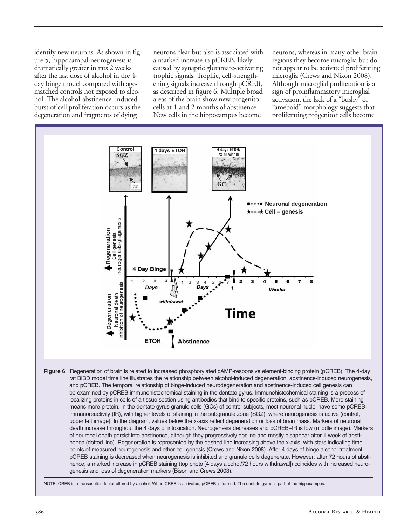identify new neurons. As shown in figure 5, hippocampal neurogenesis is dramatically greater in rats 2 weeks after the last dose of alcohol in the 4 day binge model compared with agematched controls not exposed to alcohol. The alcohol-abstinence–induced burst of cell proliferation occurs as the degeneration and fragments of dying

neurons clear but also is associated with a marked increase in pCREB, likely caused by synaptic glutamate-activating trophic signals. Trophic, cell-strengthening signals increase through pCREB, as described in figure 6. Multiple broad areas of the brain show new progenitor cells at 1 and 2 months of abstinence. New cells in the hippocampus become

neurons, whereas in many other brain regions they become microglia but do not appear to be activated proliferating microglia (Crews and Nixon 2008). Although microglial proliferation is a sign of proinflammatory microglial activation, the lack of a "bushy" or "ameboid" morphology suggests that proliferating progenitor cells become



and pCREB. The temporal relationship of binge-induced neurodegeneration and abstinence-induced cell genesis can be examined by pCREB immunohistochemical staining in the dentate gyrus. Immunohistochemical staining is a process of localizing proteins in cells of a tissue section using antibodies that bind to specific proteins, such as pCREB. More staining means more protein. In the dentate gyrus granule cells (GCs) of control subjects, most neuronal nuclei have some pCREB+ immunoreactivity (IR), with higher levels of staining in the subgranule zone (SGZ), where neurogenesis is active (control, upper left image). In the diagram, values below the x-axis reflect degeneration or loss of brain mass. Markers of neuronal death increase throughout the 4 days of intoxication. Neurogenesis decreases and pCREB+IR is low (middle image). Markers of neuronal death persist into abstinence, although they progressively decline and mostly disappear after 1 week of abstinence (dotted line). Regeneration is represented by the dashed line increasing above the x-axis, with stars indicating time points of measured neurogenesis and other cell genesis (Crews and Nixon 2008). After 4 days of binge alcohol treatment, pCREB staining is decreased when neurogenesis is inhibited and granule cells degenerate. However, after 72 hours of abstinence, a marked increase in pCREB staining (top photo [4 days alcohol/72 hours withdrawal]) coincides with increased neurogenesis and loss of degeneration markers (Bison and Crews 2003).

NOTE: CREB is a transcription factor altered by alcohol. When CREB is activated, pCREB is formed. The dentate gyrus is part of the hippocampus.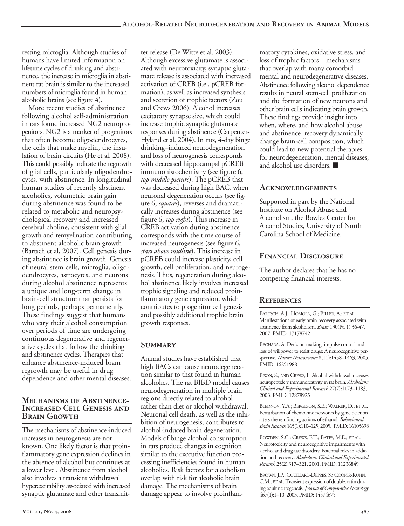resting microglia. Although studies of humans have limited information on lifetime cycles of drinking and abstinence, the increase in microglia in abstinent rat brain is similar to the increased numbers of microglia found in human alcoholic brains (see figure 4).

More recent studies of abstinence following alcohol self-administration in rats found increased NG2 neuroprogenitors. NG2 is a marker of progenitors that often become oligodendrocytes, the cells that make myelin, the insulation of brain circuits (He et al. 2008). This could possibly indicate the regrowth of glial cells, particularly oligodendrocytes, with abstinence. In longitudinal human studies of recently abstinent alcoholics, volumetric brain gain during abstinence was found to be related to metabolic and neuropsychological recovery and increased cerebral choline, consistent with glial growth and remyelination contributing to abstinent alcoholic brain growth (Bartsch et al. 2007). Cell genesis during abstinence is brain growth. Genesis of neural stem cells, microglia, oligodendrocytes, astrocytes, and neurons during alcohol abstinence represents a unique and long-term change in brain-cell structure that persists for long periods, perhaps permanently. These findings suggest that humans who vary their alcohol consumption over periods of time are undergoing continuous degenerative and regenerative cycles that follow the drinking and abstinence cycles. Therapies that enhance abstinence-induced brain regrowth may be useful in drug dependence and other mental diseases.

#### **Mechanisms of Abstinence-Increased Cell Genesis and Brain Growth**

The mechanisms of abstinence-induced increases in neurogenesis are not known. One likely factor is that proinflammatory gene expression declines in the absence of alcohol but continues at a lower level. Abstinence from alcohol also involves a transient withdrawal hyperexcitability associated with increased synaptic glutamate and other transmit-

ter release (De Witte et al. 2003). Although excessive glutamate is associated with neurotoxicity, synaptic glutamate release is associated with increased activation of CREB (i.e., pCREB formation), as well as increased synthesis and secretion of trophic factors (Zou and Crews 2006). Alcohol increases excitatory synapse size, which could increase trophic synaptic glutamate responses during abstinence (Carpenter-Hyland et al. 2004). In rats, 4-day binge drinking–induced neurodegeneration and loss of neurogenesis corresponds with decreased hippocampal pCREB immunohistochemistry (see figure 6, *top middle picture*). The pCREB that was decreased during high BAC, when neuronal degeneration occurs (see figure 6, *squares*), reverses and dramatically increases during abstinence (see figure 6, *top right*). This increase in CREB activation during abstinence corresponds with the time course of increased neurogenesis (see figure 6, *stars above midline*). This increase in pCREB could increase plasticity, cell growth, cell proliferation, and neurogenesis. Thus, regeneration during alcohol abstinence likely involves increased trophic signaling and reduced proinflammatory gene expression, which contributes to progenitor cell genesis and possibly additional trophic brain growth responses.

# **Summary**

Animal studies have established that high BACs can cause neurodegeneration similar to that found in human alcoholics. The rat BIBD model causes neurodegeneration in multiple brain regions directly related to alcohol rather than diet or alcohol withdrawal. Neuronal cell death, as well as the inhibition of neurogenesis, contributes to alcohol-induced brain degeneration. Models of binge alcohol consumption in rats produce changes in cognition similar to the executive function processing inefficiencies found in human alcoholics. Risk factors for alcoholism overlap with risk for alcoholic brain damage. The mechanisms of brain damage appear to involve proinflam-

matory cytokines, oxidative stress, and loss of trophic factors—mechanisms that overlap with many comorbid mental and neurodegenerative diseases. Abstinence following alcohol dependence results in neural stem-cell proliferation and the formation of new neurons and other brain cells indicating brain growth. These findings provide insight into when, where, and how alcohol abuse and abstinence–recovery dynamically change brain-cell composition, which could lead to new potential therapies for neurodegeneration, mental diseases, and alcohol use disorders. ■

# **Acknowledgements**

Supported in part by the National Institute on Alcohol Abuse and Alcoholism, the Bowles Center for Alcohol Studies, University of North Carolina School of Medicine.

# **Financial Disclosure**

The author declares that he has no competing financial interests.

# **References**

BARTSCH, A.J.; HOMOLA, G.; BILLER, A.; ET AL. Manifestations of early brain recovery associated with abstinence from alcoholism. *Brain* 130(Pt. 1):36-47, 2007. PMID: 17178742

BECHARA, A. Decision making, impulse control and loss of willpower to resist drugs: A neurocognitive perspective. *Nature Neuroscience* 8(11):1458–1463, 2005. PMID: 16251988

BISON, S., AND CREWS, F. Alcohol withdrawal increases neuropeptide y immunoreativity in rat brain. *Alcoholism: Clinical and Experimental Research* 27(7):1173–1183, 2003. PMID: 12878925

BLEDNOV, Y.A.; BERGESON, S.E.; WALKER, D.; ET AL. Perturbation of chemokine networks by gene deletion alters the reinforcing actions of ethanol. *Behavioural BrainResearch* 165(1):110–125, 2005. PMID: 16105698

BOWDEN, S.C.; CREWS, F.T.; BATES, M.E.; ET AL. Neurotoxicity and neurocognitive impairments with alcohol and drug-use disorders: Potential roles in addiction and recovery. *Alcoholism: Clinical and Experimental Research* 25(2):317–321, 2001. PMID: 11236849

BROWN, J.P.; COUILLARD-DEPRES, S.; COOPER-KUHN, C.M.; ET AL. Transient expression of doublecortin during adult neurogenesis.*Journal ofComparative Neurology* 467(1):1–10, 2003. PMID: 14574675